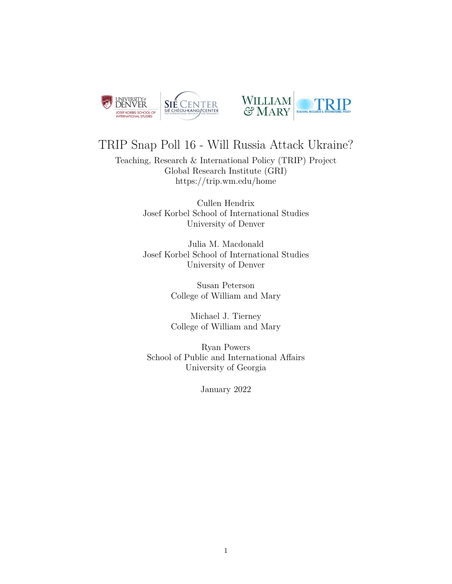



# TRIP Snap Poll 16 - Will Russia Attack Ukraine?

Teaching, Research & International Policy (TRIP) Project Global Research Institute (GRI) <https://trip.wm.edu/home>

> Cullen Hendrix Josef Korbel School of International Studies University of Denver

> Julia M. Macdonald Josef Korbel School of International Studies University of Denver

> > Susan Peterson College of William and Mary

> > Michael J. Tierney College of William and Mary

Ryan Powers School of Public and International Affairs University of Georgia

January 2022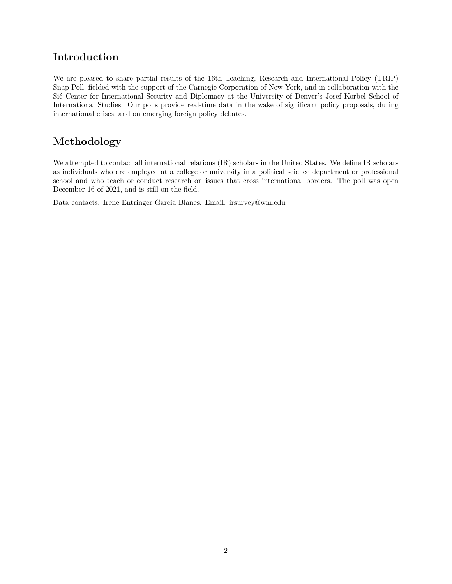### **Introduction**

We are pleased to share partial results of the 16th Teaching, Research and International Policy (TRIP) Snap Poll, fielded with the support of the Carnegie Corporation of New York, and in collaboration with the Sié Center for International Security and Diplomacy at the University of Denver's Josef Korbel School of International Studies. Our polls provide real-time data in the wake of significant policy proposals, during international crises, and on emerging foreign policy debates.

## **Methodology**

We attempted to contact all international relations (IR) scholars in the United States. We define IR scholars as individuals who are employed at a college or university in a political science department or professional school and who teach or conduct research on issues that cross international borders. The poll was open December 16 of 2021, and is still on the field.

Data contacts: Irene Entringer Garcia Blanes. Email: [irsurvey@wm.edu](mailto:irsurvey@wm.edu)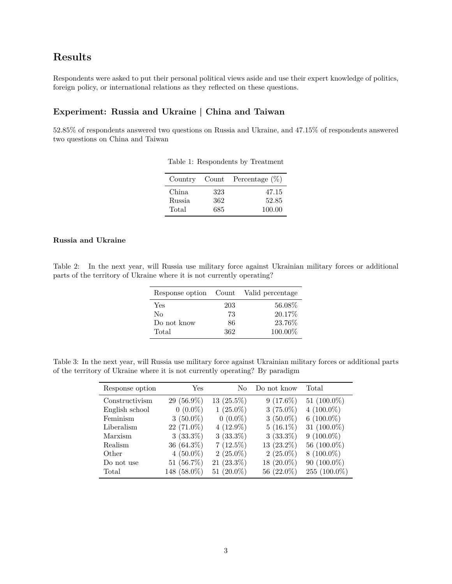### **Results**

Respondents were asked to put their personal political views aside and use their expert knowledge of politics, foreign policy, or international relations as they reflected on these questions.

### **Experiment: Russia and Ukraine | China and Taiwan**

52.85% of respondents answered two questions on Russia and Ukraine, and 47.15% of respondents answered two questions on China and Taiwan

|        |     | Country Count Percentage $(\%)$ |
|--------|-----|---------------------------------|
| China  | 323 | 47.15                           |
| Russia | 362 | 52.85                           |
| Total  | 685 | 100.00                          |

Table 1: Respondents by Treatment

### **Russia and Ukraine**

Table 2: In the next year, will Russia use military force against Ukrainian military forces or additional parts of the territory of Ukraine where it is not currently operating?

|             |     | Response option Count Valid percentage |
|-------------|-----|----------------------------------------|
| Yes         | 203 | 56.08%                                 |
| $\rm No$    | 73  | 20.17\%                                |
| Do not know | 86  | 23.76%                                 |
| Total       | 362 | 100.00%                                |

Table 3: In the next year, will Russia use military force against Ukrainian military forces or additional parts of the territory of Ukraine where it is not currently operating? By paradigm

| Response option | Yes           | Nο            | Do not know  | Total          |
|-----------------|---------------|---------------|--------------|----------------|
| Constructivism  | $29(56.9\%)$  | $13(25.5\%)$  | $9(17.6\%)$  | 51 $(100.0\%)$ |
| English school  | $0(0.0\%)$    | $1(25.0\%)$   | $3(75.0\%)$  | $4(100.0\%)$   |
| Feminism        | $3(50.0\%)$   | $0(0.0\%)$    | $3(50.0\%)$  | 6 $(100.0\%)$  |
| Liberalism      | $22(71.0\%)$  | $4(12.9\%)$   | $5(16.1\%)$  | 31 $(100.0\%)$ |
| Marxism         | $3(33.3\%)$   | $3(33.3\%)$   | $3(33.3\%)$  | $9(100.0\%)$   |
| Realism         | $36(64.3\%)$  | $7(12.5\%)$   | $13(23.2\%)$ | 56 (100.0%)    |
| Other           | $4(50.0\%)$   | $2(25.0\%)$   | $2(25.0\%)$  | $8(100.0\%)$   |
| Do not use      | 51 $(56.7\%)$ | $21(23.3\%)$  | $18(20.0\%)$ | $90(100.0\%)$  |
| Total           | 148 (58.0%)   | 51 $(20.0\%)$ | 56 (22.0%)   | 255 (100.0%)   |
|                 |               |               |              |                |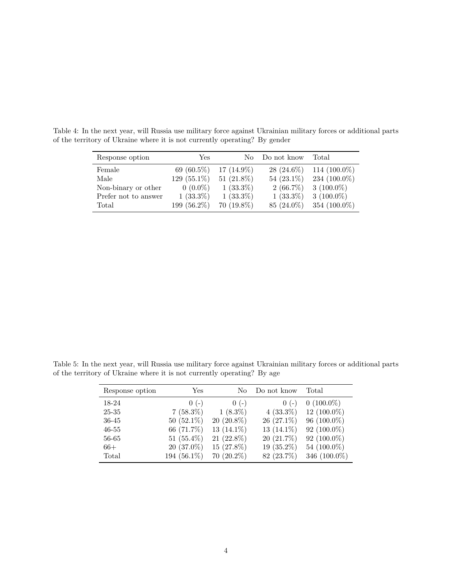| Response option      | Yes            | No.           | Do not know   | Total           |
|----------------------|----------------|---------------|---------------|-----------------|
| Female               | 69 $(60.5\%)$  | $17(14.9\%)$  | $28(24.6\%)$  | 114 $(100.0\%)$ |
| Male                 | 129 $(55.1\%)$ | 51 $(21.8\%)$ | 54 $(23.1\%)$ | 234 (100.0%)    |
| Non-binary or other  | $0(0.0\%)$     | $1(33.3\%)$   | $2(66.7\%)$   | $3(100.0\%)$    |
| Prefer not to answer | $1(33.3\%)$    | $1(33.3\%)$   | $1(33.3\%)$   | $3(100.0\%)$    |
| Total                | 199 (56.2%)    | $70(19.8\%)$  | 85 (24.0%)    | 354 (100.0%)    |

Table 4: In the next year, will Russia use military force against Ukrainian military forces or additional parts of the territory of Ukraine where it is not currently operating? By gender

Table 5: In the next year, will Russia use military force against Ukrainian military forces or additional parts of the territory of Ukraine where it is not currently operating? By age

| Response option | $\operatorname{Yes}$ | No            | Do not know   | Total          |
|-----------------|----------------------|---------------|---------------|----------------|
| 18-24           | $0(-)$               | $0(-)$        | $(0 (-)$      | $0(100.0\%)$   |
| 25-35           | $7(58.3\%)$          | $1(8.3\%)$    | $4(33.3\%)$   | $12(100.0\%)$  |
| 36-45           | $50(52.1\%)$         | $20(20.8\%)$  | $26(27.1\%)$  | $96(100.0\%)$  |
| $46 - 55$       | 66 (71.7%)           | 13 $(14.1\%)$ | 13 $(14.1\%)$ | $92(100.0\%)$  |
| 56-65           | 51 $(55.4\%)$        | $21(22.8\%)$  | $20(21.7\%)$  | $92(100.0\%)$  |
| $66+$           | $20(37.0\%)$         | $15(27.8\%)$  | 19 $(35.2\%)$ | 54 $(100.0\%)$ |
| Total           | 194 (56.1%)          | $70(20.2\%)$  | 82 (23.7%)    | 346 (100.0%)   |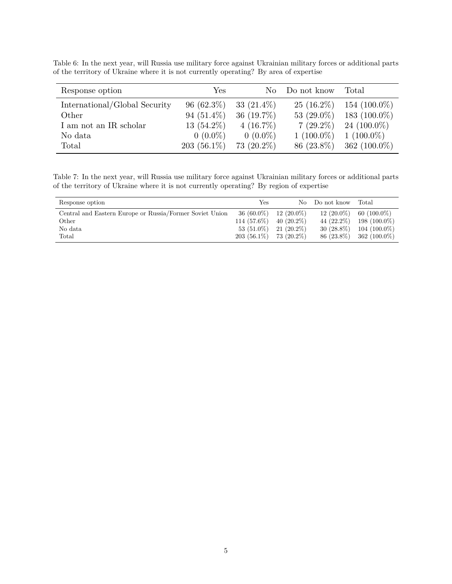| Response option               | Yes.          | No.           | Do not know   | Total           |
|-------------------------------|---------------|---------------|---------------|-----------------|
| International/Global Security | $96(62.3\%)$  | 33 $(21.4\%)$ | $25(16.2\%)$  | $154(100.0\%)$  |
| Other                         | 94 $(51.4\%)$ | 36 $(19.7\%)$ | 53 $(29.0\%)$ | 183 $(100.0\%)$ |
| I am not an IR scholar        | 13 $(54.2\%)$ | $4(16.7\%)$   | $7(29.2\%)$   | 24 $(100.0\%)$  |
| No data                       | $0(0.0\%)$    | $0(0.0\%)$    | $1(100.0\%)$  | $1(100.0\%)$    |
| Total                         | $203(56.1\%)$ | $73(20.2\%)$  | 86 (23.8%)    | 362 $(100.0\%)$ |

Table 6: In the next year, will Russia use military force against Ukrainian military forces or additional parts of the territory of Ukraine where it is not currently operating? By area of expertise

Table 7: In the next year, will Russia use military force against Ukrainian military forces or additional parts of the territory of Ukraine where it is not currently operating? By region of expertise

| Response option                                          | Yes           | No.          | Do not know   | Total          |
|----------------------------------------------------------|---------------|--------------|---------------|----------------|
| Central and Eastern Europe or Russia/Former Soviet Union | $36(60.0\%)$  | $12(20.0\%)$ | $12(20.0\%)$  | $60(100.0\%)$  |
| Other                                                    | $114(57.6\%)$ | $40(20.2\%)$ | 44 $(22.2\%)$ | $198(100.0\%)$ |
| No data                                                  | $53(51.0\%)$  | $21(20.2\%)$ | $30(28.8\%)$  | $104(100.0\%)$ |
| Total                                                    | $203(56.1\%)$ | 73 (20.2%)   | 86 (23.8%)    | $362(100.0\%)$ |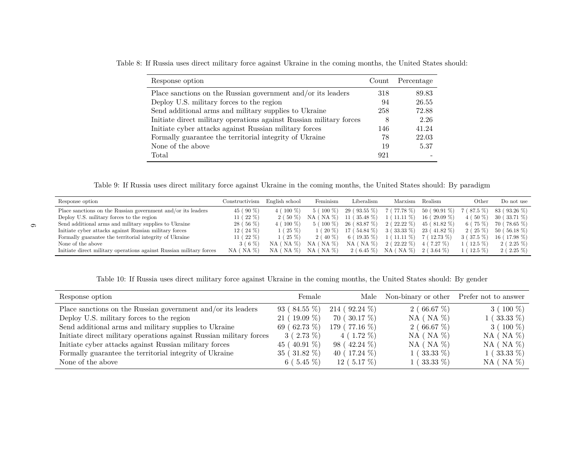| Response option                                                     | Count | Percentage |
|---------------------------------------------------------------------|-------|------------|
| Place sanctions on the Russian government and/or its leaders        | 318   | 89.83      |
| Deploy U.S. military forces to the region                           | 94    | 26.55      |
| Send additional arms and military supplies to Ukraine               | 258   | 72.88      |
| Initiate direct military operations against Russian military forces | 8     | 2.26       |
| Initiate cyber attacks against Russian military forces              | 146   | 41.24      |
| Formally guarantee the territorial integrity of Ukraine             | 78    | 22.03      |
| None of the above                                                   | 19    | 5.37       |
| Total                                                               | 921   |            |

Table 8: If Russia uses direct military force against Ukraine in the coming months, the United States should:

Table 9: If Russia uses direct military force against Ukraine in the coming months, the United States should: By paradigm

| Response option                                                     | Constructivism | English school    | Feminism             | Liberalism       | Marxism            | Realism        | Other      | Do not use    |
|---------------------------------------------------------------------|----------------|-------------------|----------------------|------------------|--------------------|----------------|------------|---------------|
| Place sanctions on the Russian government and/or its leaders        | 45 (90 %)      | $4(100\%)$        | 5 (100 %)            | 29 (93.55 %)     | 7 (77.78 %)        | $50(90.91\%)$  | 7 (87.5 %) | 83 (93.26 %)  |
| Deploy U.S. military forces to the region                           | 11 ( $22\%$ )  | 2 (50 %)          | $NA$ ( $NA$ $\%$ )   | $11(35.48\%)$    | $1(11.11\%)$       | $16(29.09\%)$  | 4 (50 %)   | 30 (33.71 %)  |
| Send additional arms and military supplies to Ukraine               | $28(56\%)$     | $4(100\%)$        | 5 (100 %)            | 26 (83.87 %)     | $2(22.22\%)$       | $45(81.82\%)$  | $6(75\%)$  | 70 (78.65 %)  |
| Initiate cyber attacks against Russian military forces              | $12(24\%)$     | $1(25\%)$         | $1(20\%)$            | 17 (54.84 %)     | $3(33.33\%)$       | 23 (41.82 %)   | $2(25\%)$  | 50 (56.18 %)  |
| Formally guarantee the territorial integrity of Ukraine             | 11 ( $22\%$ )  | $1(25\%)$         | 2 (40 %)             | 6 (19.35 $%$ )   | $1(11.11\%)$       | $7(12.73\%)$   | 3 (37.5 %) | $16(17.98\%)$ |
| None of the above                                                   | $3(6\%$        | $NA$ ( $NA$ %)    | $'$ NA $%$ )<br>NA ( | $(NA\%)$<br>NA ( | $2(22.22\%)$       | $'$ 7.27 $%$ ) | $(12.5\%)$ | $2(2.25\%)$   |
| Initiate direct military operations against Russian military forces | $NA$ ( $NA$ %) | NA (<br>$(NA \%)$ | $NA$ ( $NA$ $\%$ )   | 2 ( 6.45 %)      | $NA$ ( $NA$ $\%$ ) | $2(3.64\%)$    | $(12.5\%)$ | $2(2.25\%)$   |

Table 10: If Russia uses direct military force against Ukraine in the coming months, the United States should: By gender

| Response option                                                     | Female           | Male             | Non-binary or other Prefer not to answer |                    |
|---------------------------------------------------------------------|------------------|------------------|------------------------------------------|--------------------|
| Place sanctions on the Russian government and/or its leaders        | $93(84.55\%)$    | $214(92.24\%)$   | 2 (66.67 $%$ )                           | $3(100\%)$         |
| Deploy U.S. military forces to the region                           | $21(19.09\%)$    | $70(30.17\%)$    | $NA$ ( $NA \%$ )                         | $1(33.33\%)$       |
| Send additional arms and military supplies to Ukraine               | 69 (62.73 $%$ )  | 179 (77.16 %)    | 2(66.67%)                                | $3(100\%)$         |
| Initiate direct military operations against Russian military forces | $3(2.73\%)$      | $4(1.72\%)$      | $NA$ ( $NA$ %)                           | $NA$ ( $NA \%$     |
| Initiate cyber attacks against Russian military forces              | 45 (40.91 $\%$ ) | $98(42.24\%)$    | $NA$ ( $NA$ %)                           | $NA$ ( $NA$ $\%$ ) |
| Formally guarantee the territorial integrity of Ukraine             | $35(31.82\%)$    | 40 ( $17.24\%$ ) | $1(33.33\%)$                             | $1(33.33\%)$       |
| None of the above                                                   | 6 (5.45 $%$ )    | $12(5.17\%)$     | $1$ ( $33.33\%$ )                        | $NA$ ( $NA$ $\%$ ) |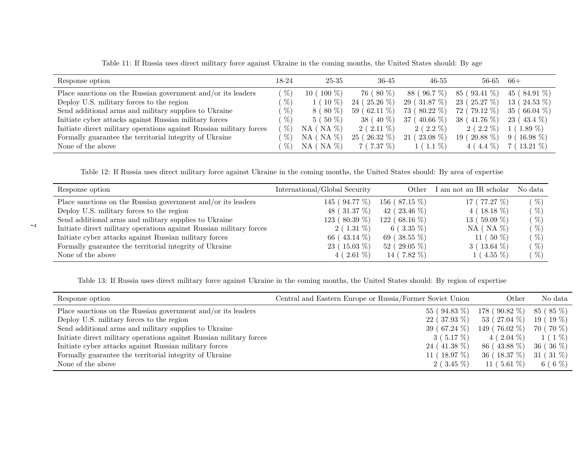| Response option                                                     | 18-24 | 25-35              | 36-45         | $46 - 55$       | 56-65               | $66+$                        |
|---------------------------------------------------------------------|-------|--------------------|---------------|-----------------|---------------------|------------------------------|
| Place sanctions on the Russian government and/or its leaders        | %     | $(100\%)$<br>10 (  | 76 (80 %)     | 88 (96.7 %)     | 85 (93.41 %)        | 45 (84.91 $%$ )              |
| Deploy U.S. military forces to the region                           | %     | $1(10\%)$          | $24(25.26\%)$ | 29(31.87%)      | 23(25.27%)          | 13 (<br>$(24.53\%)$          |
| Send additional arms and military supplies to Ukraine               | $\%$  | $8(80\%)$          | $59(62.11\%)$ | 73 (80.22 %)    | $(79.12\%)$<br>72 ( | 35 <sub>1</sub><br>$66.04\%$ |
| Initiate cyber attacks against Russian military forces              | $\%$  | $5(50\%)$          | $38(40\%)$    | 37 (40.66 $%$ ) | $38(41.76\%)$       | 23 (<br>43.4 %)              |
| Initiate direct military operations against Russian military forces | $\%$  | $NA$ ( $NA$ $\%$ ) | $2(2.11\%)$   | $2(2.2\%)$      | $2(2.2\%)$          | $1(1.89\%)$                  |
| Formally guarantee the territorial integrity of Ukraine             | $\%$  | $NA$ ( $NA$ $\%$ ) | $25(26.32\%)$ | $21(23.08\%)$   | $19(20.88\%)$       | $9(16.98\%)$                 |
| None of the above                                                   | $\%$  | $NA$ ( $NA$ $\%$ ) | 7(7.37%)      | $1(1.1\%)$      | $4(4.4\%)$          | $7(13.21\%)$                 |

Table 11: If Russia uses direct military force against Ukraine in the coming months, the United States should: By age

Table 12: If Russia uses direct military force against Ukraine in the coming months, the United States should: By area of expertise

| Response option                                                     | International/Global Security | Other             | I am not an IR scholar | No data |
|---------------------------------------------------------------------|-------------------------------|-------------------|------------------------|---------|
| Place sanctions on the Russian government and/or its leaders        | 145 (94.77 %)                 | 156 ( $87.15\%$ ) | 17 ( $77.27\%$ )       | %       |
| Deploy U.S. military forces to the region                           | 48 (31.37 %)                  | 42 ( $23.46\%$ )  | $4(18.18\%)$           | %       |
| Send additional arms and military supplies to Ukraine               | 123 ( $80.39\%$ )             | $122(68.16\%)$    | 13 (59.09 $\%$ )       | %       |
| Initiate direct military operations against Russian military forces | $2(1.31\%)$                   | 6 ( $3.35\%$ )    | $NA$ ( $NA$ $\%$ )     | %       |
| Initiate cyber attacks against Russian military forces              | 66 (43.14 $\%$ )              | 69 (38.55 $\%$ )  | 11 ( $50\%$ )          | %       |
| Formally guarantee the territorial integrity of Ukraine             | $23(15.03\%)$                 | $52(29.05\%)$     | $3(13.64\%)$           | %       |
| None of the above                                                   | $4(2.61\%)$                   | 14 (7.82 $\%$ )   | $1(4.55\%)$            | $\%$    |

Table 13: If Russia uses direct military force against Ukraine in the coming months, the United States should: By region of expertise

| Response option                                                     | Central and Eastern Europe or Russia/Former Soviet Union | Other                      | No data       |
|---------------------------------------------------------------------|----------------------------------------------------------|----------------------------|---------------|
| Place sanctions on the Russian government and/or its leaders        | $55(94.83\%)$                                            | $178 (90.82 \%)$ 85 (85 %) |               |
| Deploy U.S. military forces to the region                           | $22(37.93\%)$                                            | 53 (27.04 %)               | $19(19\%)$    |
| Send additional arms and military supplies to Ukraine               | 39 (67.24 $\%$ )                                         | $149(76.02\%)$             | 70 (70 %)     |
| Initiate direct military operations against Russian military forces | $3(5.17\%)$                                              | $4(2.04\%)$                | 1 ( 1 %)      |
| Initiate cyber attacks against Russian military forces              | $24(41.38\%)$                                            | 86 (43.88 %)               | $36^{(36)}%$  |
| Formally guarantee the territorial integrity of Ukraine             | 11 ( $18.97\%$ )                                         | 36(18.37%)                 | 31 (31 $\%$ ) |
| None of the above                                                   | $2(3.45\%)$                                              | 11 (5.61%)                 | 6 ( 6 $%$ )   |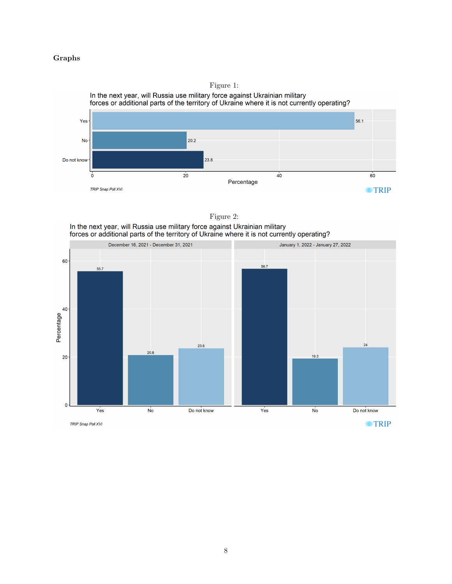#### **Graphs**





Figure 2:<br>In the next year, will Russia use military force against Ukrainian military<br>forces or additional parts of the territory of Ukraine where it is not currently operating?